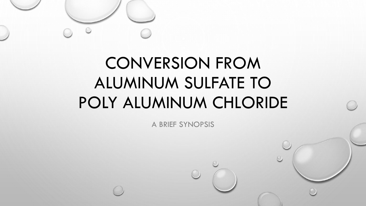

A BRIEF SYNOPSIS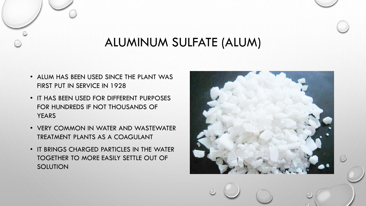### ALUMINUM SULFATE (ALUM)

- ALUM HAS BEEN USED SINCE THE PLANT WAS FIRST PUT IN SERVICE IN 1928
- IT HAS BEEN USED FOR DIFFERENT PURPOSES FOR HUNDREDS IF NOT THOUSANDS OF **YEARS**
- VERY COMMON IN WATER AND WASTEWATER TREATMENT PLANTS AS A COAGULANT
- IT BRINGS CHARGED PARTICLES IN THE WATER TOGETHER TO MORE EASILY SETTLE OUT OF **SOLUTION**

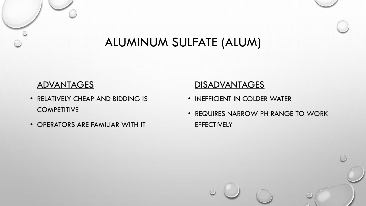### ALUMINUM SULFATE (ALUM)

#### **ADVANTAGES**

- RELATIVELY CHEAP AND BIDDING IS **COMPETITIVE**
- OPERATORS ARE FAMILIAR WITH IT

### **DISADVANTAGES**

- INEFFICIENT IN COLDER WATER
- REQUIRES NARROW PH RANGE TO WORK **EFFECTIVELY**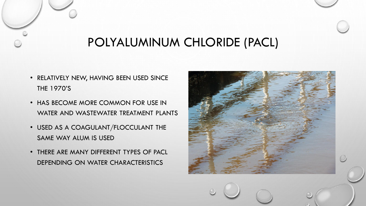## POLYALUMINUM CHLORIDE (PACL)

- RELATIVELY NEW, HAVING BEEN USED SINCE THE 1970'S
- HAS BECOME MORE COMMON FOR USE IN WATER AND WASTEWATER TREATMENT PLANTS
- USED AS A COAGULANT/FLOCCULANT THE SAME WAY ALUM IS USED
- THERE ARE MANY DIFFERENT TYPES OF PACL DEPENDING ON WATER CHARACTERISTICS

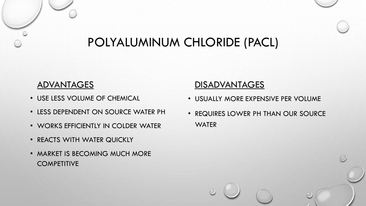## POLYALUMINUM CHLORIDE (PACL)

#### **ADVANTAGES**

- USE LESS VOLUME OF CHEMICAL
- LESS DEPENDENT ON SOURCE WATER PH
- WORKS EFFICIENTLY IN COLDER WATER
- REACTS WITH WATER QUICKLY
- MARKET IS BECOMING MUCH MORE **COMPETITIVE**

### **DISADVANTAGES**

- USUALLY MORE EXPENSIVE PER VOLUME
- REQUIRES LOWER PH THAN OUR SOURCE **WATER**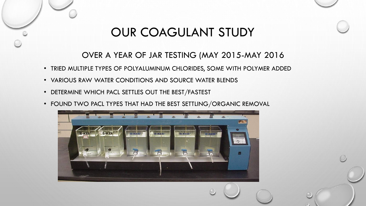## OUR COAGULANT STUDY

### OVER A YEAR OF JAR TESTING (MAY 2015-MAY 2016

- TRIED MULTIPLE TYPES OF POLYALUMINUM CHLORIDES, SOME WITH POLYMER ADDED
- VARIOUS RAW WATER CONDITIONS AND SOURCE WATER BLENDS
- DETERMINE WHICH PACL SETTLES OUT THE BEST/FASTEST
- FOUND TWO PACL TYPES THAT HAD THE BEST SETTLING/ORGANIC REMOVAL

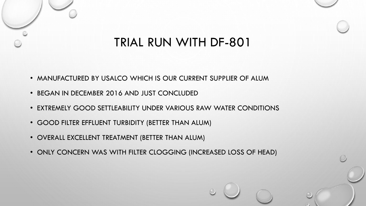### TRIAL RUN WITH DF-801

- MANUFACTURED BY USALCO WHICH IS OUR CURRENT SUPPLIER OF ALUM
- BEGAN IN DECEMBER 2016 AND JUST CONCLUDED
- EXTREMELY GOOD SETTLEABILITY UNDER VARIOUS RAW WATER CONDITIONS
- GOOD FILTER EFFLUENT TURBIDITY (BETTER THAN ALUM)
- OVERALL EXCELLENT TREATMENT (BETTER THAN ALUM)
- ONLY CONCERN WAS WITH FILTER CLOGGING (INCREASED LOSS OF HEAD)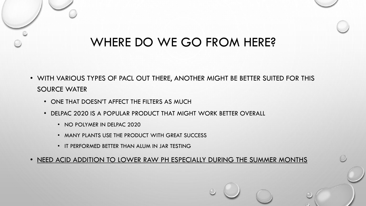### WHERE DO WE GO FROM HERE?

- WITH VARIOUS TYPES OF PACL OUT THERE, ANOTHER MIGHT BE BETTER SUITED FOR THIS SOURCE WATER
	- ONE THAT DOESN'T AFFECT THE FILTERS AS MUCH
	- DELPAC 2020 IS A POPULAR PRODUCT THAT MIGHT WORK BETTER OVERALL
		- NO POLYMER IN DELPAC 2020
		- MANY PLANTS USE THE PRODUCT WITH GREAT SUCCESS
		- IT PERFORMED BETTER THAN ALUM IN JAR TESTING

• NEED ACID ADDITION TO LOWER RAW PH ESPECIALLY DURING THE SUMMER MONTHS